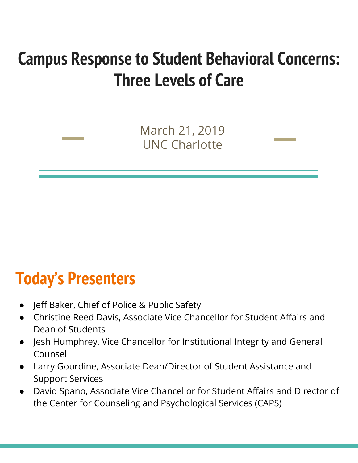### **Campus Response to Student Behavioral Concerns: Three Levels of Care**

March 21, 2019 UNC Charlotte

### **Today's Presenters**

- Jeff Baker, Chief of Police & Public Safety
- Christine Reed Davis, Associate Vice Chancellor for Student Affairs and Dean of Students
- Jesh Humphrey, Vice Chancellor for Institutional Integrity and General Counsel
- Larry Gourdine, Associate Dean/Director of Student Assistance and Support Services
- David Spano, Associate Vice Chancellor for Student Affairs and Director of the Center for Counseling and Psychological Services (CAPS)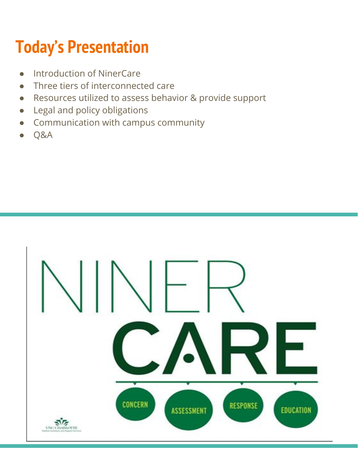# **Today's Presentation**

- Introduction of NinerCare
- Three tiers of interconnected care
- Resources utilized to assess behavior & provide support
- Legal and policy obligations
- Communication with campus community
- Q&A

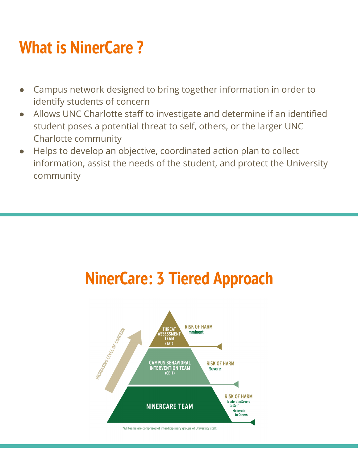# **What is NinerCare ?**

- Campus network designed to bring together information in order to identify students of concern
- Allows UNC Charlotte staff to investigate and determine if an identified student poses a potential threat to self, others, or the larger UNC Charlotte community
- Helps to develop an objective, coordinated action plan to collect information, assist the needs of the student, and protect the University community

# **NinerCare: 3 Tiered Approach**

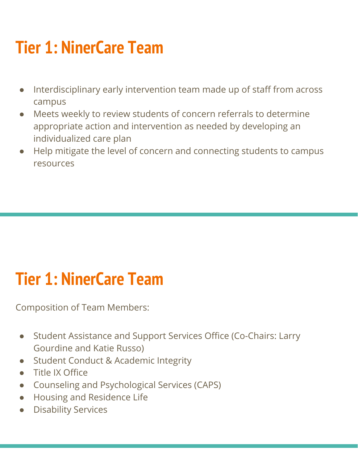# **Tier 1: NinerCare Team**

- Interdisciplinary early intervention team made up of staff from across campus
- Meets weekly to review students of concern referrals to determine appropriate action and intervention as needed by developing an individualized care plan
- Help mitigate the level of concern and connecting students to campus resources

### **Tier 1: NinerCare Team**

Composition of Team Members:

- Student Assistance and Support Services Office (Co-Chairs: Larry Gourdine and Katie Russo)
- **Student Conduct & Academic Integrity**
- Title IX Office
- Counseling and Psychological Services (CAPS)
- Housing and Residence Life
- **Disability Services**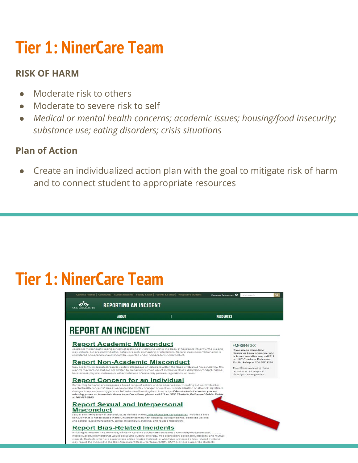# **Tier 1: NinerCare Team**

#### **RISK OF HARM**

- Moderate risk to others
- Moderate to severe risk to self
- *Medical or mental health concerns; academic issues; housing/food insecurity; substance use; eating disorders; crisis situations*

#### **Plan of Action**

Create an individualized action plan with the goal to mitigate risk of harm and to connect student to appropriate resources

### **Tier 1: NinerCare Team**

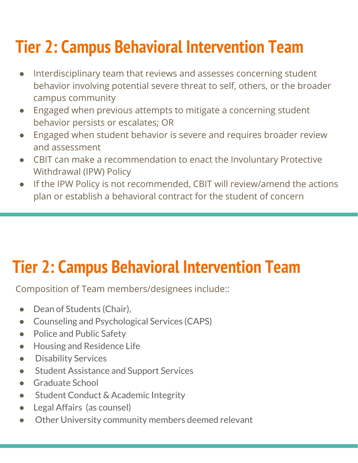# **Tier 2: Campus Behavioral Intervention Team**

- Interdisciplinary team that reviews and assesses concerning student behavior involving potential severe threat to self, others, or the broader campus community
- Engaged when previous attempts to mitigate a concerning student behavior persists or escalates; OR
- Engaged when student behavior is severe and requires broader review and assessment
- CBIT can make a recommendation to enact the Involuntary Protective Withdrawal (IPW) Policy
- If the IPW Policy is not recommended, CBIT will review/amend the actions plan or establish a behavioral contract for the student of concern

# **Tier 2: Campus Behavioral Intervention Team**

Composition of Team members/designees include::

- Dean of Students (Chair),
- Counseling and Psychological Services (CAPS)
- Police and Public Safety
- Housing and Residence Life
- Disability Services
- Student Assistance and Support Services
- Graduate School
- Student Conduct & Academic Integrity
- Legal Affairs (as counsel)
- Other University community members deemed relevant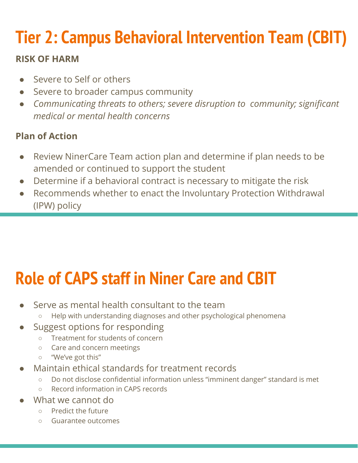# **Tier 2: Campus Behavioral Intervention Team (CBIT)**

#### **RISK OF HARM**

- Severe to Self or others
- Severe to broader campus community
- *● Communicating threats to others; severe disruption to community; significant medical or mental health concerns*

#### **Plan of Action**

- Review NinerCare Team action plan and determine if plan needs to be amended or continued to support the student
- Determine if a behavioral contract is necessary to mitigate the risk
- Recommends whether to enact the Involuntary Protection Withdrawal (IPW) policy

# **Role of CAPS staff in Niner Care and CBIT**

- Serve as mental health consultant to the team
	- Help with understanding diagnoses and other psychological phenomena
- Suggest options for responding
	- Treatment for students of concern
	- Care and concern meetings
	- "We've got this"
- Maintain ethical standards for treatment records
	- Do not disclose confidential information unless "imminent danger" standard is met
	- Record information in CAPS records
- What we cannot do
	- Predict the future
	- Guarantee outcomes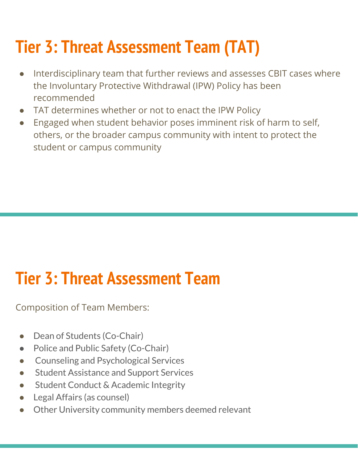# **Tier 3: Threat Assessment Team (TAT)**

- Interdisciplinary team that further reviews and assesses CBIT cases where the Involuntary Protective Withdrawal (IPW) Policy has been recommended
- TAT determines whether or not to enact the IPW Policy
- Engaged when student behavior poses imminent risk of harm to self, others, or the broader campus community with intent to protect the student or campus community

### **Tier 3: Threat Assessment Team**

Composition of Team Members:

- Dean of Students (Co-Chair)
- Police and Public Safety (Co-Chair)
- **Counseling and Psychological Services**
- **Student Assistance and Support Services**
- **Student Conduct & Academic Integrity**
- Legal Affairs (as counsel)
- Other University community members deemed relevant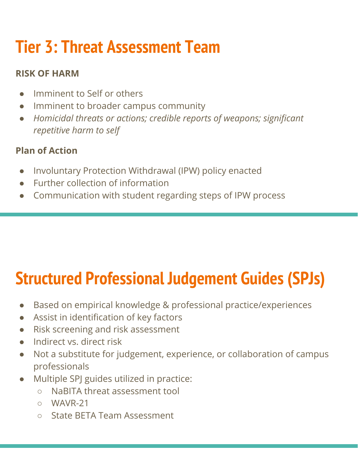# **Tier 3: Threat Assessment Team**

#### **RISK OF HARM**

- Imminent to Self or others
- Imminent to broader campus community
- *● Homicidal threats or actions; credible reports of weapons; significant repetitive harm to self*

### **Plan of Action**

- Involuntary Protection Withdrawal (IPW) policy enacted
- Further collection of information
- Communication with student regarding steps of IPW process

# **Structured Professional Judgement Guides (SPJs)**

- Based on empirical knowledge & professional practice/experiences
- Assist in identification of key factors
- Risk screening and risk assessment
- Indirect vs. direct risk
- Not a substitute for judgement, experience, or collaboration of campus professionals
- Multiple SPJ guides utilized in practice:
	- NaBITA threat assessment tool
	- WAVR-21
	- State BETA Team Assessment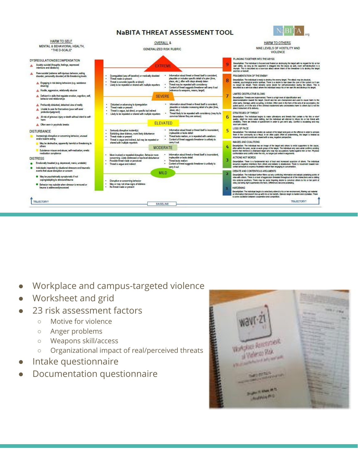#### NaBITA THREAT ASSESSMENT TOOL





- Workplace and campus-targeted violence
- Worksheet and grid
- 23 risk assessment factors
	- Motive for violence
	- Anger problems
	- Weapons skill/access
	- Organizational impact of real/perceived threats
- Intake questionnaire
- Documentation questionnaire

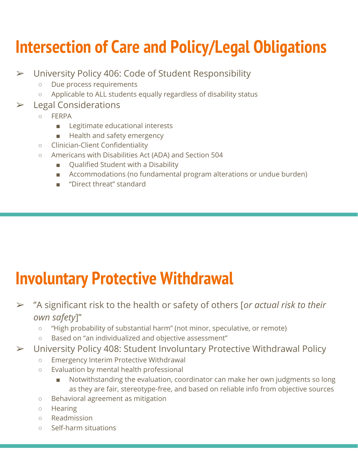# **Intersection of Care and Policy/Legal Obligations**

- ➢ University Policy 406: Code of Student Responsibility
	- Due process requirements
	- Applicable to ALL students equally regardless of disability status
- ➢ Legal Considerations
	- FERPA
		- Legitimate educational interests
		- Health and safety emergency
	- Clinician-Client Confidentiality
	- Americans with Disabilities Act (ADA) and Section 504
		- Qualified Student with a Disability
		- Accommodations (no fundamental program alterations or undue burden)
		- "Direct threat" standard

### **Involuntary Protective Withdrawal**

- ➢ "A significant risk to the health or safety of others [*or actual risk to their own safety*]"
	- "High probability of substantial harm" (not minor, speculative, or remote)
	- Based on "an individualized and objective assessment"
- ➢ University Policy 408: Student Involuntary Protective Withdrawal Policy
	- Emergency Interim Protective Withdrawal
	- Evaluation by mental health professional
		- Notwithstanding the evaluation, coordinator can make her own judgments so long as they are fair, stereotype-free, and based on reliable info from objective sources
	- Behavioral agreement as mitigation
	- Hearing
	- Readmission
	- Self-harm situations